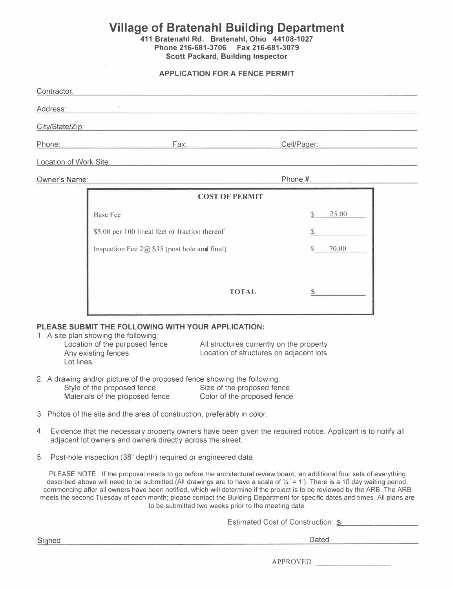# **Village of Bratenahl Building Department**

**411 Bratenahl Rd. Bratenahl, Ohio 44108-1027 Phone 216-681-3706 Fax 216-681-3079 Scott Packard, Building Inspector** 

#### **APPLICATION FOR A FENCE PERMIT**

| Contractor:            |                                                |             |  |  |  |  |  |
|------------------------|------------------------------------------------|-------------|--|--|--|--|--|
| Address:               |                                                |             |  |  |  |  |  |
| City/State/Zip:        |                                                |             |  |  |  |  |  |
| Phone:                 | Fax:<br>Cell/Pager:                            |             |  |  |  |  |  |
| Location of Work Site: |                                                |             |  |  |  |  |  |
| Owner's Name:          |                                                | Phone #:    |  |  |  |  |  |
|                        | <b>COST OF PERMIT</b>                          |             |  |  |  |  |  |
|                        |                                                |             |  |  |  |  |  |
|                        | Base Fee                                       | 25.00<br>S. |  |  |  |  |  |
|                        | \$5.00 per 100 lineal feet or fraction thereof | S           |  |  |  |  |  |
|                        | Inspection Fee $2@$ \$35 (post hole and final) | S<br>70.00  |  |  |  |  |  |
|                        |                                                |             |  |  |  |  |  |

#### **PLEASE SUBMIT THE FOLLOWING WITH YOUR APPLICATION:**

1. A site plan showing the following: Location of the purposed fence Any existing fences Lot lines

All structures currently on the property Location of structures on adjacent lots

**TOTAL** 

- 2. A drawing and/or picture of the proposed fence showing the following: Style of the proposed fence Size of the proposed fence Materials of the proposed fence Color of the proposed fence
- 3. Photos of the site and the area of construction, preferably in color.
- 4. Evidence that the necessary property owners have been given the required notice. Applicant is to notify all adjacent lot owners and owners directly across the street.
- 5. Post-hole inspection (38" depth) required or engineered data.

PLEASE NOTE: If the proposal needs to go before the architectural review board, an additional four sets of everything described above will need to be submitted.(All drawings are to have a scale of  $\frac{1}{4}$ " = 1'). There is a 10 day waiting period, commencing after all owners have been notified, which will determine if the project is to be reviewed by the ARB. The ARB meets the second Tuesday of each month; please contact the Building Department for specific dates and times. All plans are to be submitted two weeks prior to the meeting date.

Estimated Cost of Construction: \$

\$

Signed Dated

APPROVED \_\_\_\_\_\_\_ \_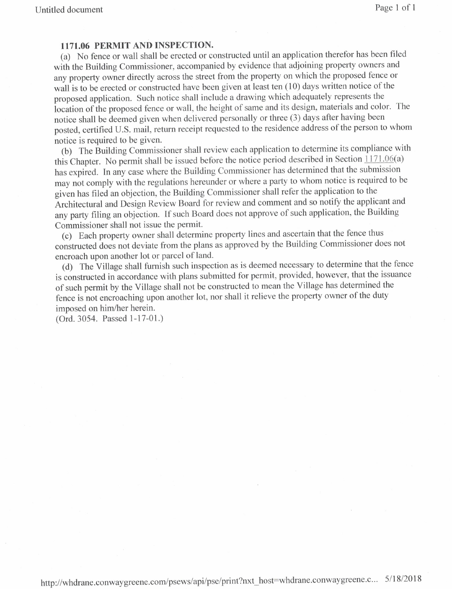### 1171.06 PERMIT AND INSPECTION.

(a) No fence or wall shall be erected or constructed until an application therefor has been filed with the Building Commissioner, accompanied by evidence that adjoining property owners and any property owner directly across the street from the property on which the proposed fence or wall is to be erected or constructed have been given at least ten (10) days written notice of the proposed application. Such notice shall include a drawing which adequately represents the location of the proposed fence or wall, the height of same and its design, materials and color. The notice shall be deemed given when delivered personally or three (3) days after having been posted, certified U.S. mail, return receipt requested to the residence address of the person to whom notice is required to be given.

(b) The Building Commissioner shall review each application to determine its compliance with this Chapter. No permit shall be issued before the notice period described in Section  $\frac{1171.06(a)}{1171.06(a)}$ has expired. In any case where the Building Commissioner has determined that the submission may not comply with the regulations hereunder or where a party to whom notice is required to be given has filed an objection, the Building Commissioner shall refer the application to the Architectural and Design Review Board for review and comment and so notify the applicant and any party filing an objection. If such Board does not approve of such application, the Building Commissioner shall not issue the permit.

(c) Each property owner shall determine property lines and ascertain that the fence thus constructed does not deviate from the plans as approved by the Building Commissioner does not encroach upon another lot or parcel of land.

(d) The Village shall furnish such inspection as is deemed necessary to determine that the fence is constructed in accordance with plans submitted for permit, provided, however, that the issuance of such permit by the Village shall not be constructed to mean the Village has determined the fence is not encroaching upon another lot, nor shall it relieve the property owner of the duty imposed on him/her herein.

(Ord. 3054. Passed 1-17-01.)